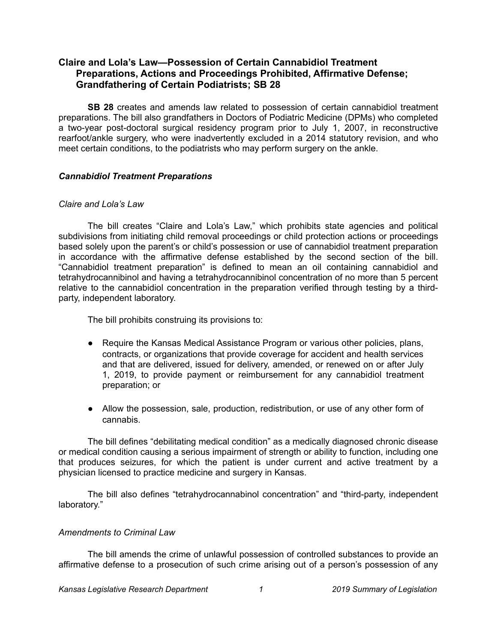# **Claire and Lola's Law—Possession of Certain Cannabidiol Treatment Preparations, Actions and Proceedings Prohibited, Affirmative Defense; Grandfathering of Certain Podiatrists; SB 28**

**SB 28** creates and amends law related to possession of certain cannabidiol treatment preparations. The bill also grandfathers in Doctors of Podiatric Medicine (DPMs) who completed a two-year post-doctoral surgical residency program prior to July 1, 2007, in reconstructive rearfoot/ankle surgery, who were inadvertently excluded in a 2014 statutory revision, and who meet certain conditions, to the podiatrists who may perform surgery on the ankle.

## *Cannabidiol Treatment Preparations*

### *Claire and Lola's Law*

The bill creates "Claire and Lola's Law," which prohibits state agencies and political subdivisions from initiating child removal proceedings or child protection actions or proceedings based solely upon the parent's or child's possession or use of cannabidiol treatment preparation in accordance with the affirmative defense established by the second section of the bill. "Cannabidiol treatment preparation" is defined to mean an oil containing cannabidiol and tetrahydrocannibinol and having a tetrahydrocannibinol concentration of no more than 5 percent relative to the cannabidiol concentration in the preparation verified through testing by a thirdparty, independent laboratory.

The bill prohibits construing its provisions to:

- Require the Kansas Medical Assistance Program or various other policies, plans, contracts, or organizations that provide coverage for accident and health services and that are delivered, issued for delivery, amended, or renewed on or after July 1, 2019, to provide payment or reimbursement for any cannabidiol treatment preparation; or
- Allow the possession, sale, production, redistribution, or use of any other form of cannabis.

The bill defines "debilitating medical condition" as a medically diagnosed chronic disease or medical condition causing a serious impairment of strength or ability to function, including one that produces seizures, for which the patient is under current and active treatment by a physician licensed to practice medicine and surgery in Kansas.

The bill also defines "tetrahydrocannabinol concentration" and "third-party, independent laboratory."

## *Amendments to Criminal Law*

The bill amends the crime of unlawful possession of controlled substances to provide an affirmative defense to a prosecution of such crime arising out of a person's possession of any